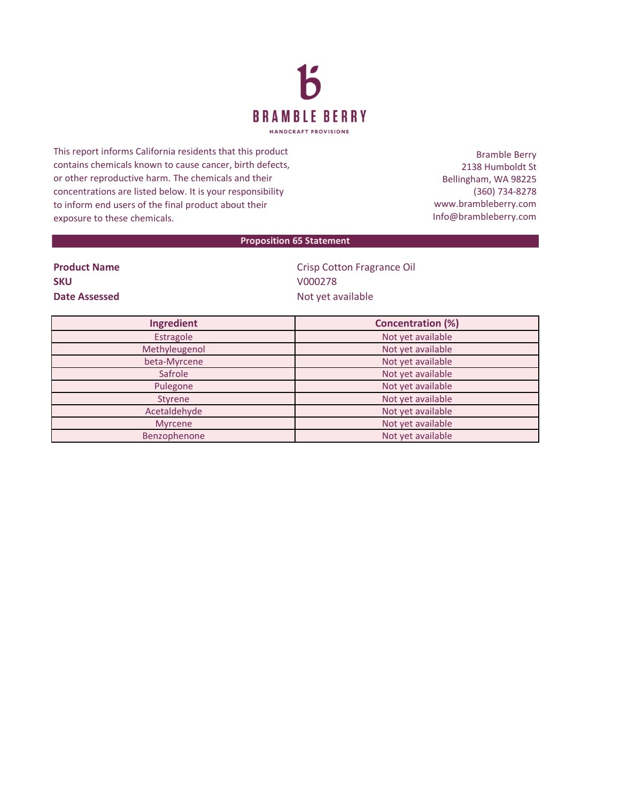

This report informs California residents that this product contains chemicals known to cause cancer, birth defects, or other reproductive harm. The chemicals and their concentrations are listed below. It is your responsibility to inform end users of the final product about their exposure to these chemicals.

Bramble Berry 2138 Humboldt St Bellingham, WA 98225 (360) 734-8278 www.brambleberry.com Info@brambleberry.com

## **Proposition 65 Statement**

| <b>Product Name</b> |  |
|---------------------|--|
| <b>SKU</b>          |  |
| Date Assessed       |  |

**Crisp Cotton Fragrance Oil SKU** V000278 **Date Assessed** Not yet available

| Ingredient     | <b>Concentration (%)</b> |
|----------------|--------------------------|
| Estragole      | Not yet available        |
| Methyleugenol  | Not yet available        |
| beta-Myrcene   | Not yet available        |
| Safrole        | Not yet available        |
| Pulegone       | Not yet available        |
| <b>Styrene</b> | Not yet available        |
| Acetaldehyde   | Not yet available        |
| <b>Myrcene</b> | Not yet available        |
| Benzophenone   | Not yet available        |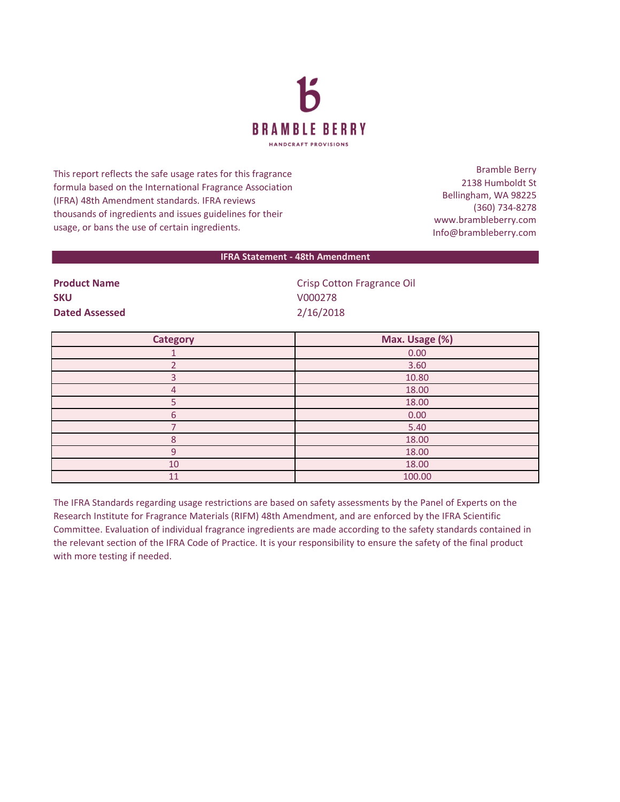

This report reflects the safe usage rates for this fragrance formula based on the International Fragrance Association (IFRA) 48th Amendment standards. IFRA reviews thousands of ingredients and issues guidelines for their usage, or bans the use of certain ingredients.

Bramble Berry 2138 Humboldt St Bellingham, WA 98225 (360) 734-8278 www.brambleberry.com Info@brambleberry.com

## **IFRA Statement - 48th Amendment**

**SKU** V000278 **Dated Assessed** 2/16/2018

**Product Name Crisp Cotton Fragrance Oil** 

| <b>Category</b> | Max. Usage (%) |
|-----------------|----------------|
|                 | 0.00           |
|                 | 3.60           |
| з               | 10.80          |
| 4               | 18.00          |
|                 | 18.00          |
| 6               | 0.00           |
|                 | 5.40           |
| 8               | 18.00          |
| $\alpha$        | 18.00          |
| 10              | 18.00          |
| 11              | 100.00         |

The IFRA Standards regarding usage restrictions are based on safety assessments by the Panel of Experts on the Research Institute for Fragrance Materials (RIFM) 48th Amendment, and are enforced by the IFRA Scientific Committee. Evaluation of individual fragrance ingredients are made according to the safety standards contained in the relevant section of the IFRA Code of Practice. It is your responsibility to ensure the safety of the final product with more testing if needed.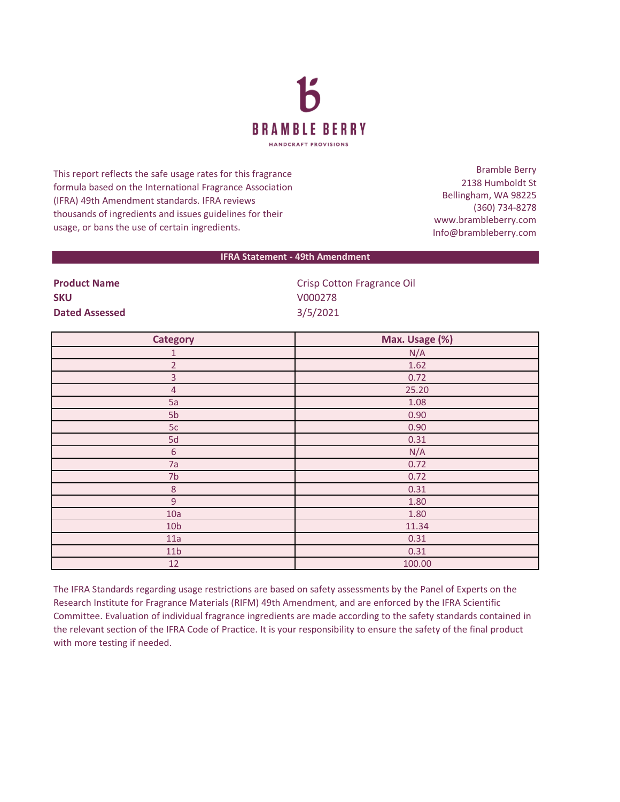

This report reflects the safe usage rates for this fragrance formula based on the International Fragrance Association (IFRA) 49th Amendment standards. IFRA reviews thousands of ingredients and issues guidelines for their usage, or bans the use of certain ingredients.

Bramble Berry 2138 Humboldt St Bellingham, WA 98225 (360) 734-8278 www.brambleberry.com Info@brambleberry.com

## **IFRA Statement - 49th Amendment**

| <b>Product Name</b>   | <b>Crisp Cotton Fragrance Oil</b> |
|-----------------------|-----------------------------------|
| <b>SKU</b>            | V000278                           |
| <b>Dated Assessed</b> | 3/5/2021                          |

| <b>Category</b> | Max. Usage (%) |
|-----------------|----------------|
| 1               | N/A            |
| $\overline{2}$  | 1.62           |
| $\overline{3}$  | 0.72           |
| $\overline{4}$  | 25.20          |
| 5a              | 1.08           |
| 5 <sub>b</sub>  | 0.90           |
| 5c              | 0.90           |
| 5d              | 0.31           |
| $\sqrt{6}$      | N/A            |
| 7a              | 0.72           |
| 7 <sub>b</sub>  | 0.72           |
| $\,8\,$         | 0.31           |
| $\overline{9}$  | 1.80           |
| 10a             | 1.80           |
| 10 <sub>b</sub> | 11.34          |
| 11a             | 0.31           |
| 11 <sub>b</sub> | 0.31           |
| 12              | 100.00         |

The IFRA Standards regarding usage restrictions are based on safety assessments by the Panel of Experts on the Research Institute for Fragrance Materials (RIFM) 49th Amendment, and are enforced by the IFRA Scientific Committee. Evaluation of individual fragrance ingredients are made according to the safety standards contained in the relevant section of the IFRA Code of Practice. It is your responsibility to ensure the safety of the final product with more testing if needed.